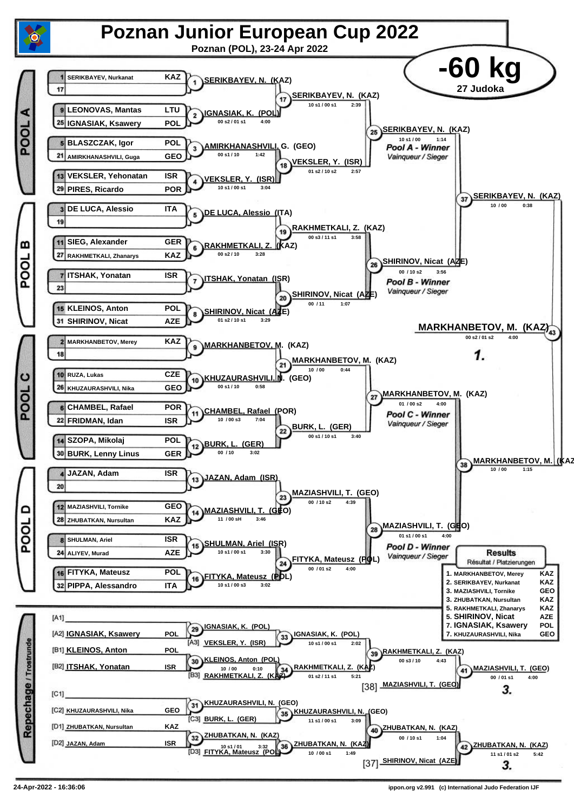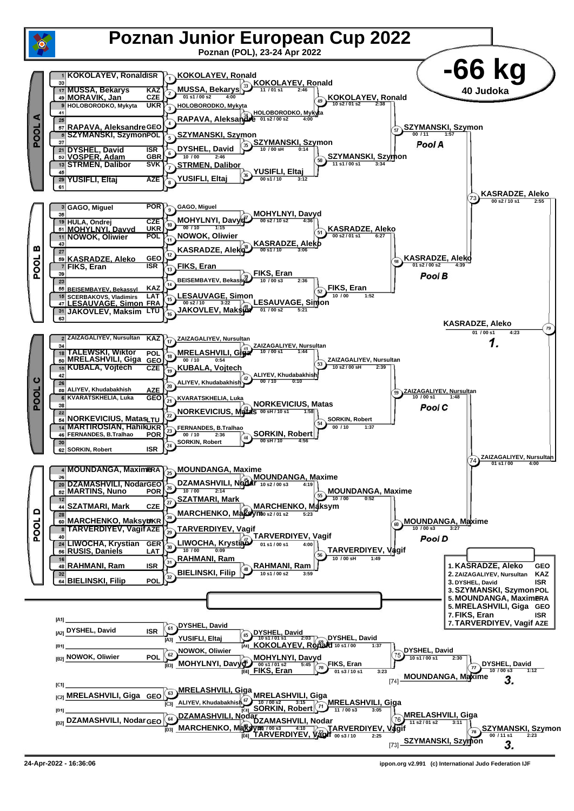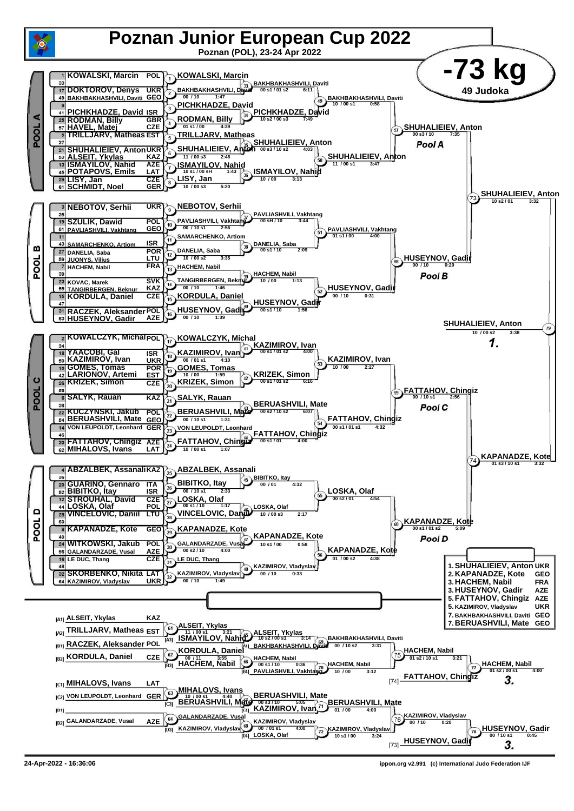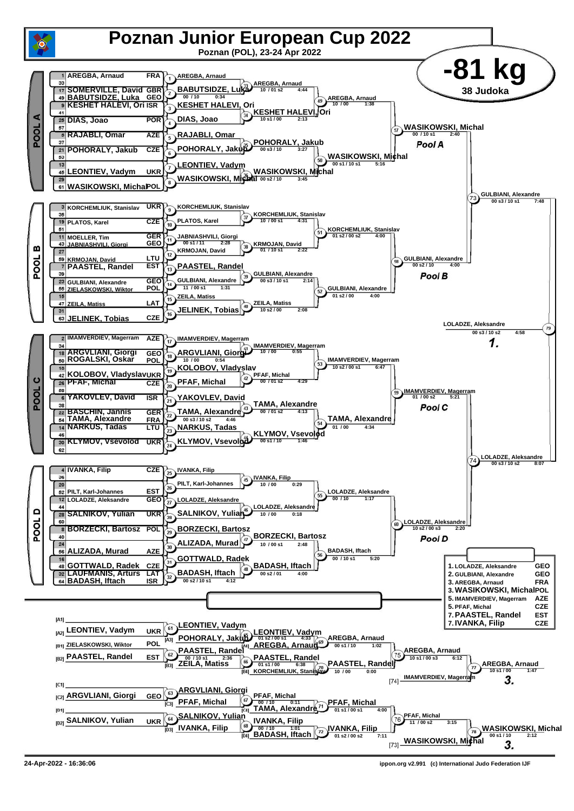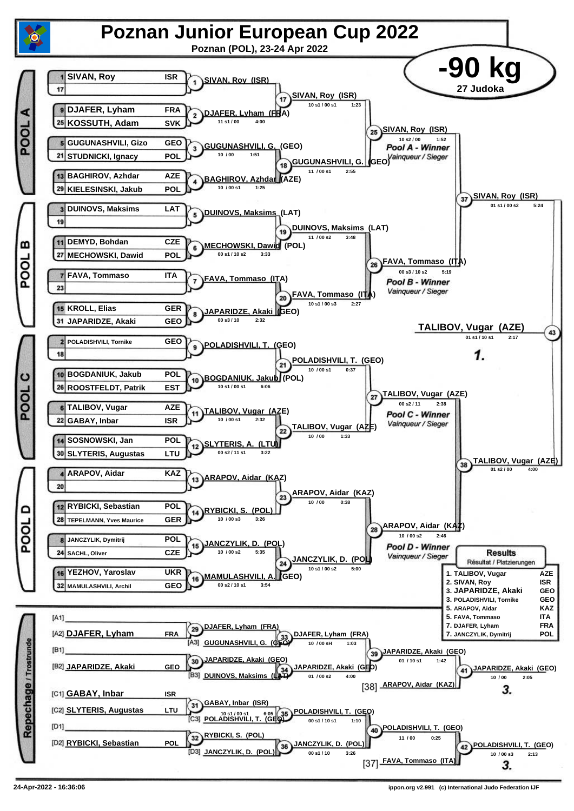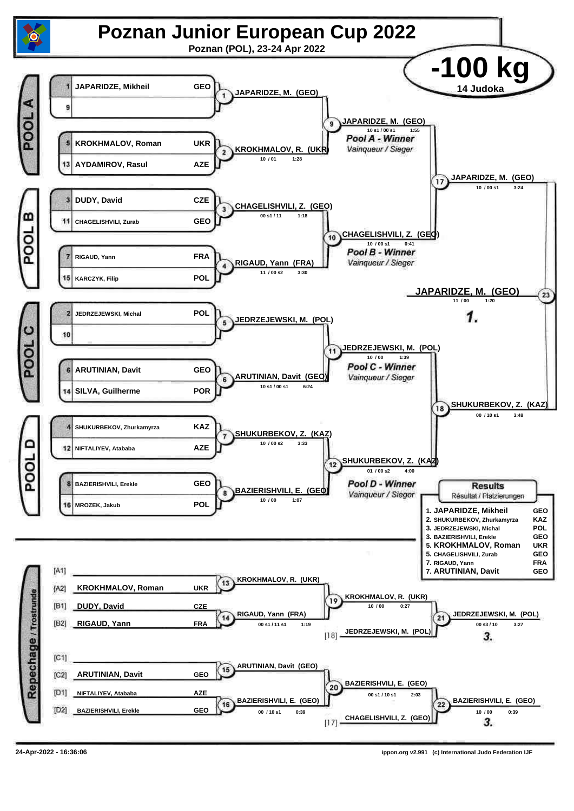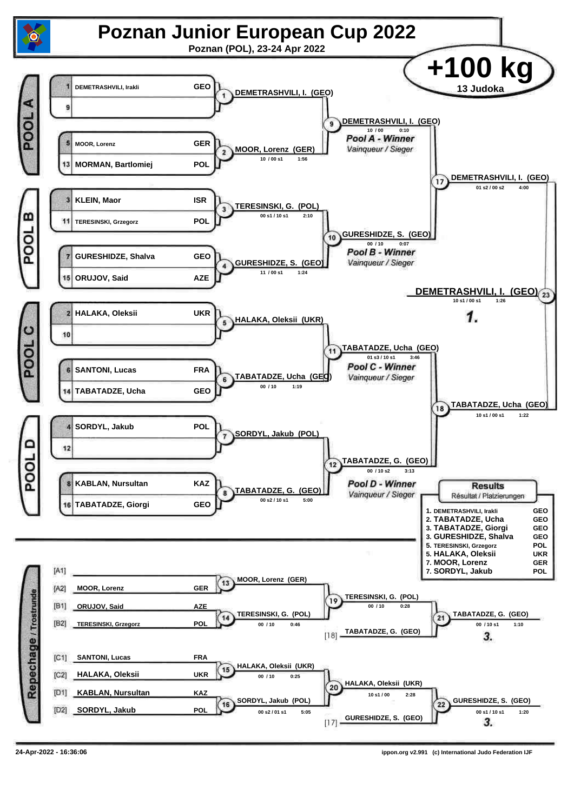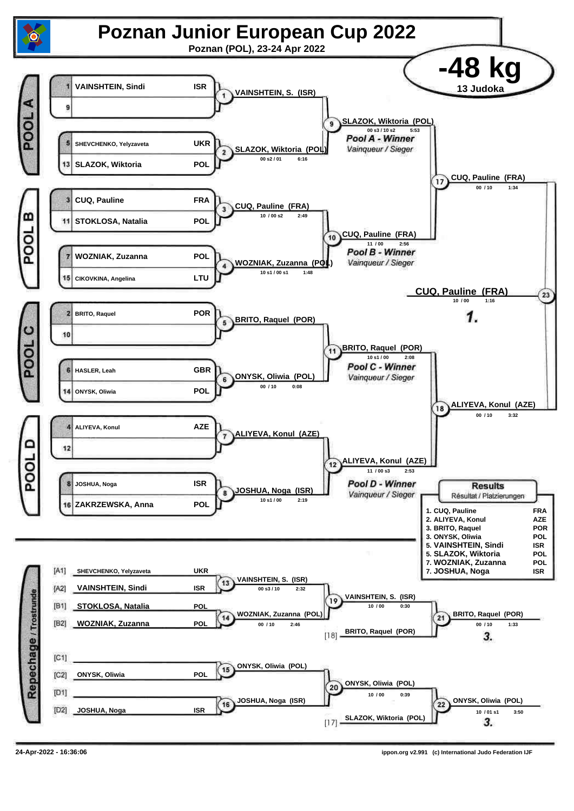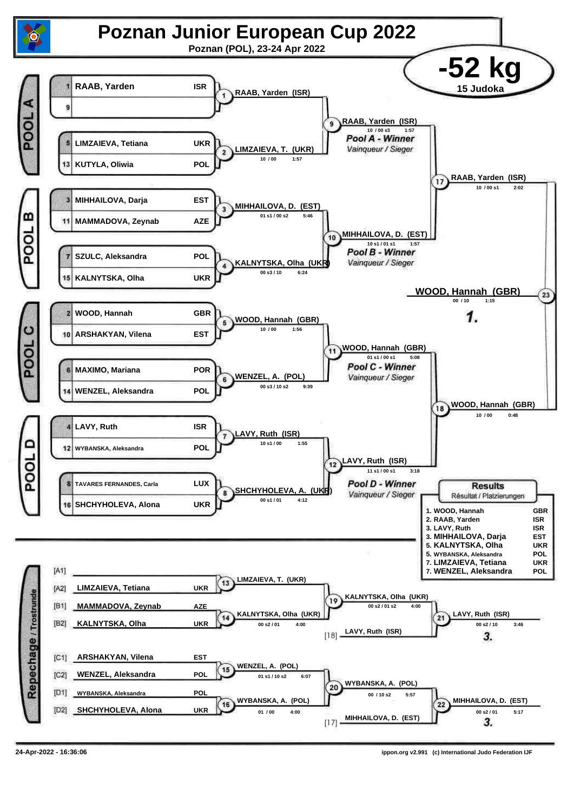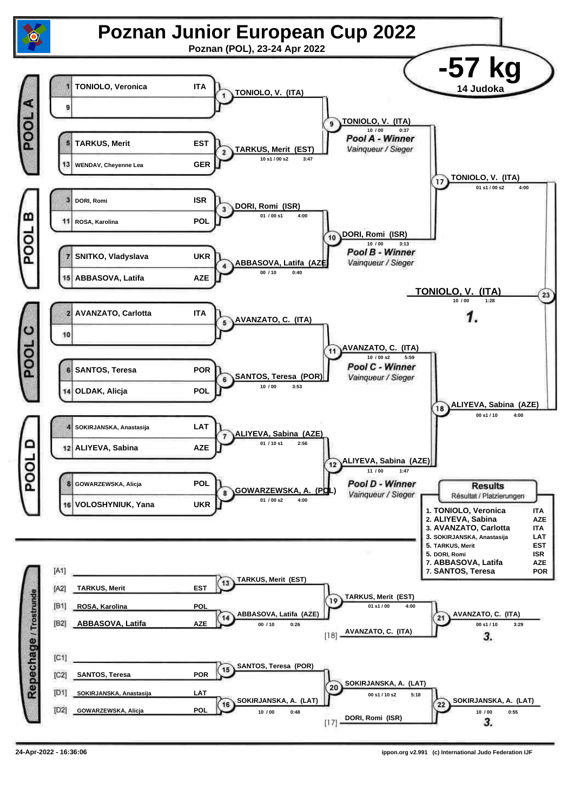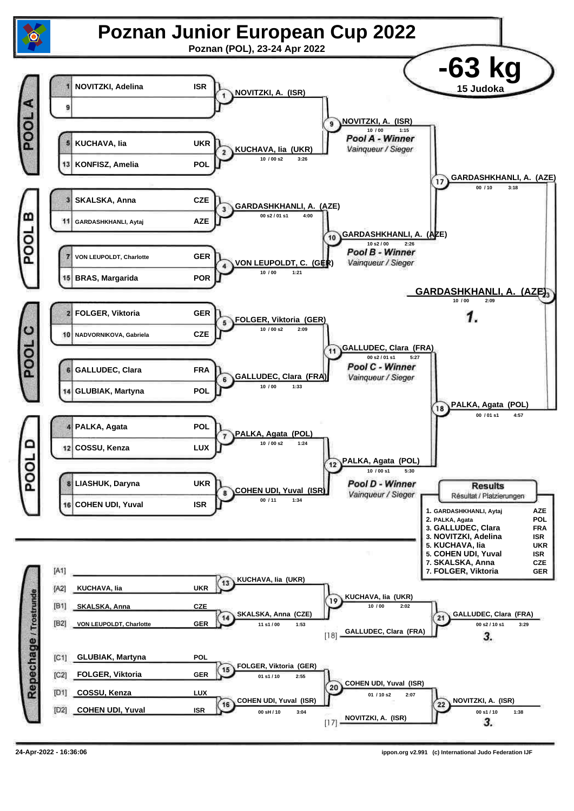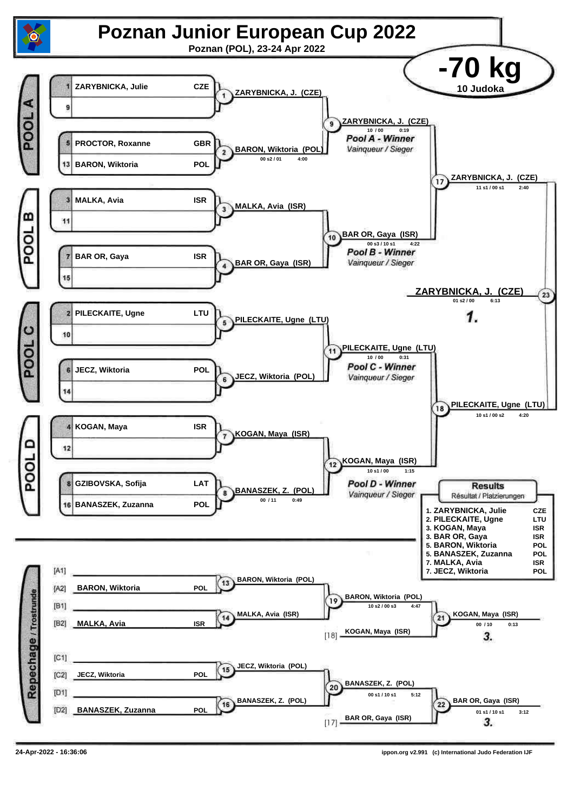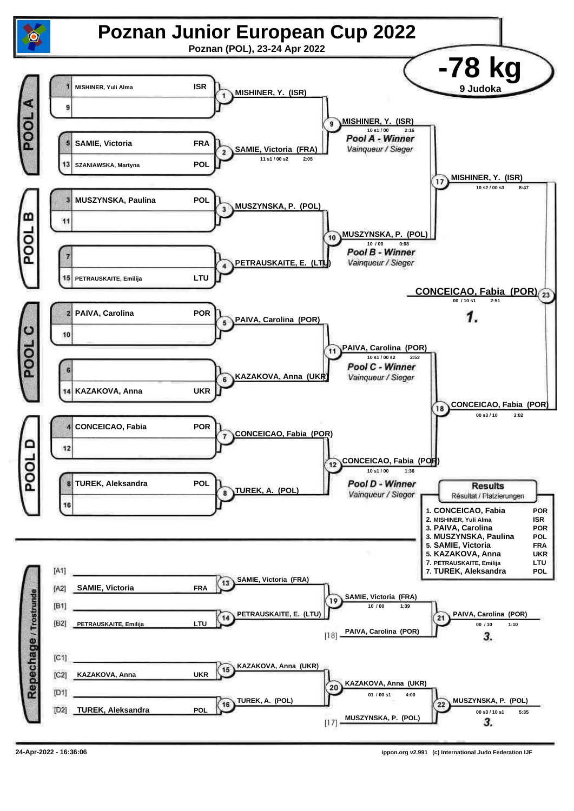